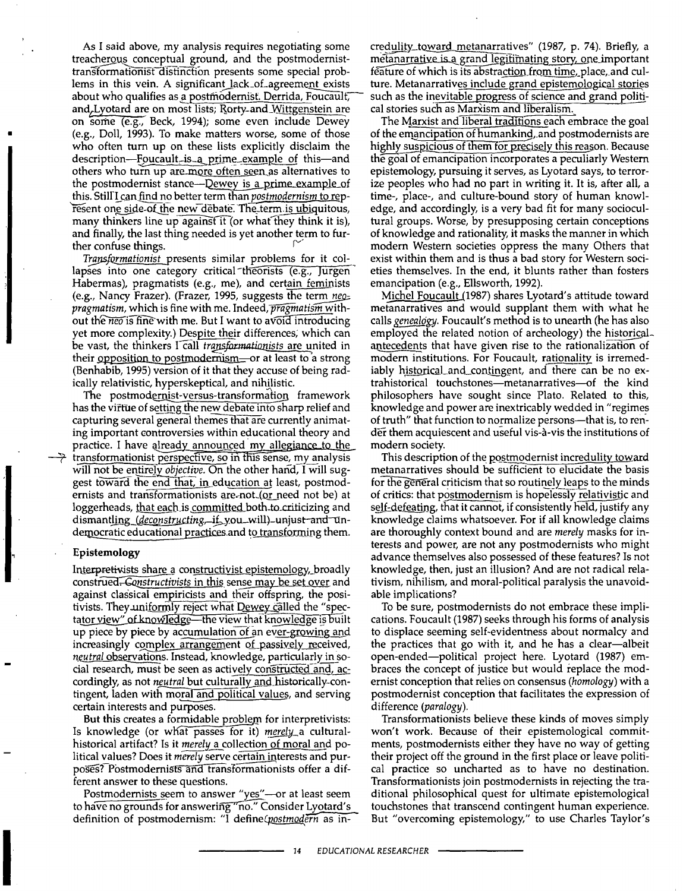As I said above, my analysis requires negotiating some treacherous conceptual ground, and the postmodernisttransformationist distinction presents some special problems in this vein. A significant lack of agreement exists about who qualifies as a postmodernist. Derrida, Foucault, and, Lyotard are on most lists; Rorty-and Wittgenstein are on some (e.g., Beck, 1994); some even include Dewey (e.g., Doll, 1993). To make matters worse, some of those who often turn up on these lists explicitly disclaim the description-Foucault is a prime example of this-and others who turn up are more often seen as alternatives to the postmodernist stance—Dewey is a prime example of this. Still I can find no better term than *postmodernism* to represent one side of the new debate. The term is ubiquitous, many thinkers line up against it (or what they think it is), and finally, the last thing needed is yet another term to further confuse things.

Transformationist presents similar problems for it collapses into one category critical theorists (e.g., Jurgen Habermas), pragmatists (e.g., me), and certain feminists (e.g., Nancy Frazer). (Frazer, 1995, suggests the term neopragmatism, which is fine with me. Indeed, pragmatism without the *neo* is fine with me. But I want to avoid introducing yet more complexity.) Despite their differences, which can be vast, the thinkers I call transformationists are united in their <u>opposition</u> to postmodernism—or at least to a strong (Benhabib, 1995) version of it that they accuse of being radically relativistic, hyperskeptical, and nihilistic.

The postmodernist-versus-transformation framework has the virtue of setting the new debate into sharp relief and capturing several general themes that are currently animating important controversies within educational theory and practice. I have already announced my allegiance to the  $\rightarrow$  transformationist perspective, so in this sense, my analysis will not be entirely objective. On the other hand, I will suggest toward the end that, in education at least, postmodernists and transformationists are not (or need not be) at loggerheads, that each is committed both to criticizing and dismantling (deconstructing, if you will) unjust and undemocratic educational practices and to transforming them.

#### Epistemology

Interpretivists share a constructivist epistemology, broadly construed. Constructivists in this sense may be set over and against classical empiricists and their offspring, the positivists. They uniformly reject what Dewey called the "spectator view" of knowledge—the view that knowledge is built up piece by piece by accumulation of an ever-growing and increasingly complex arrangement of passively received, *neutral* observations. Instead, knowledge, particularly in social research, must be seen as actively constructed and, accordingly, as not neutral but culturally and historically-contingent, laden with moral and political values, and serving certain interests and purposes.

But this creates a formidable problem for interpretivists: Is knowledge (or what passes for it) merely a culturalhistorical artifact? Is it merely a collection of moral and political values? Does it merely serve certain interests and purposes? Postmodernists and transformationists offer a different answer to these questions.

Postmodernists seem to answer "yes"-or at least seem to have no grounds for answering "no." Consider Lyotard's definition of postmodernism: "I define *postmodern* as incredulity\_toward\_metanarratives" (1987, p. 74). Briefly, a metanarrative is a grand legitimating story, one important feature of which is its abstraction from time, place, and culture. Metanarratives include grand epistemological stories such as the inevitable progress of science and grand political stories such as Marxism and liberalism.

The Marxist and liberal traditions each embrace the goal of the emancipation of humankind, and postmodernists are highly suspicious of them for precisely this reason. Because the goal of emancipation incorporates a peculiarly Western epistemology, pursuing it serves, as Lyotard says, to terrorize peoples who had no part in writing it. It is, after all, a time-, place-, and culture-bound story of human knowledge, and accordingly, is a very bad fit for many sociocultural groups. Worse, by presupposing certain conceptions of knowledge and rationality, it masks the manner in which modern Western societies oppress the many Others that exist within them and is thus a bad story for Western societies themselves. In the end, it blunts rather than fosters emancipation (e.g., Ellsworth, 1992).

Michel Foucault (1987) shares Lyotard's attitude toward metanarratives and would supplant them with what he calls *genealogy*. Foucault's method is to unearth (he has also employed the related notion of archeology) the historical antecedents that have given rise to the rationalization of modern institutions. For Foucault, rationality is irremediably historical and contingent, and there can be no extrahistorical touchstones-metanarratives-of the kind philosophers have sought since Plato. Related to this, knowledge and power are inextricably wedded in "regimes" of truth" that function to normalize persons-that is, to render them acquiescent and useful vis-à-vis the institutions of modern society.

This description of the postmodernist incredulity toward metanarratives should be sufficient to elucidate the basis for the general criticism that so routinely leaps to the minds of critics: that postmodernism is hopelessly relativistic and self-defeating, that it cannot, if consistently held, justify any knowledge claims whatsoever. For if all knowledge claims are thoroughly context bound and are *merely* masks for interests and power, are not any postmodernists who might advance themselves also possessed of these features? Is not knowledge, then, just an illusion? And are not radical relativism, nihilism, and moral-political paralysis the unavoidable implications?

To be sure, postmodernists do not embrace these implications. Foucault (1987) seeks through his forms of analysis to displace seeming self-evidentness about normalcy and the practices that go with it, and he has a clear—albeit open-ended—political project here. Lyotard (1987) embraces the concept of justice but would replace the modernist conception that relies on consensus (homology) with a postmodernist conception that facilitates the expression of difference (paralogy).

Transformationists believe these kinds of moves simply won't work. Because of their epistemological commitments, postmodernists either they have no way of getting their project off the ground in the first place or leave political practice so uncharted as to have no destination. Transformationists join postmodernists in rejecting the traditional philosophical quest for ultimate epistemological touchstones that transcend contingent human experience. But "overcoming epistemology," to use Charles Taylor's

- 14 EDUCATIONAL RESEARCHER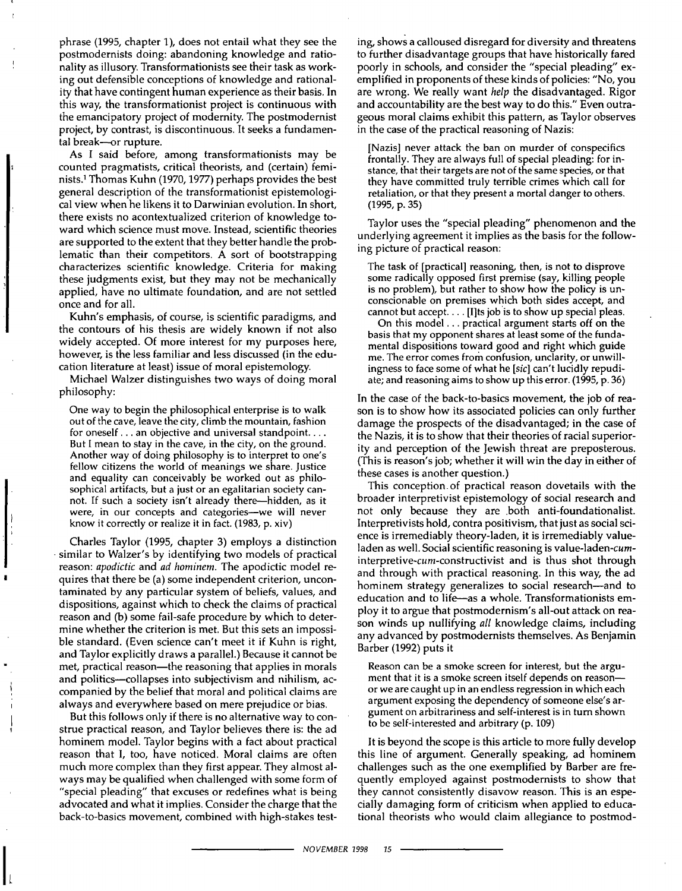phrase (1995, chapter 1), does not entail what they see the postmodernists doing: abandoning knowledge and rationality as illusory. Transformationists see their task as working out defensible conceptions of knowledge and rationality that have contingent human experience as their basis. In this way, the transformationist project is continuous with the emancipatory project of modernity. The postmodernist project, by contrast, is discontinuous. It seeks a fundamental break---or rupture.

As I said before, among transformationists may be counted pragmatists, critical theorists, and (certain) feminists. 1 Thomas Kuhn (1970, 1977) perhaps provides the best general description of the transformationist epistemological view when he likens it to Darwinian evolution. In short, there exists no acontextualized criterion of knowledge toward which science must move. Instead, scientific theories are supported to the extent that they better handle the problematic than their competitors. A sort of bootstrapping characterizes scientific knowledge. Criteria for making these judgments exist, but they may not be mechanically applied, have no ultimate foundation, and are not settled once and for all.

Kuhn's emphasis, of course, is scientific paradigms, and the contours of his thesis are widely known if not also widely accepted. Of more interest for my purposes here, however, is the less familiar and less discussed (in the education literature at least) issue of moral epistemology.

Michael Walzer distinguishes two ways of doing moral philosophy:

One way to begin the philosophical enterprise is to walk out of the cave, leave the city, climb the mountain, fashion for oneself... an objective and universal standpoint.... But I mean to stay in the cave, in the city, on the ground. Another way of doing philosophy is to interpret to one's fellow citizens the world of meanings we share. Justice and equality can conceivably be worked out as philosophical artifacts, but a just or an egalitarian society cannot. If such a society isn't already there--hidden, as it were, in our concepts and categories--we will never know it correctly or realize it in fact. (1983, p. xiv)

Charles Taylor (1995, chapter 3) employs a distinction • similar to Walzer's by identifying two models of practical reason: *apodictic* and *ad hominem.* The apodictic model requires that there be (a) some independent criterion, uncontaminated by any particular system of beliefs, values, and dispositions, against which to check the claims of practical reason and (b) some fail-safe procedure by which to determine whether the criterion is met. But this sets an impossible standard. (Even science can't meet it if Kuhn is right, and Taylor explicitly draws a parallel.) Because it cannot be met, practical reason—the reasoning that applies in morals and politics--collapses into subjectivism and nihilism, accompanied by the belief that moral and political claims are always and everywhere based on mere prejudice or bias.

But this follows only if there is no alternative way to construe practical reason, and Taylor believes there is: the ad hominem model. Taylor begins with a fact about practical reason that I, too, have noticed. Moral claims are often much more complex than they first appear. They almost always may be qualified when challenged with some form of "special pleading" that excuses or redefines what is being advocated and what it implies. Consider the charge that the back-to-basics movement, combined with high-stakes testing, shows a calloused disregard for diversity and threatens to further disadvantage groups that have historically fared poorly in schools, and consider the "special pleading" exemplified in proponents of these kinds of policies: "No, you are wrong. We really want *help* the disadvantaged. Rigor and accountability are the best way to do this." Even outrageous moral claims exhibit this pattern, as Taylor observes in the case of the practical reasoning of Nazis:

[Nazis] never attack the ban on murder of conspecifics frontally. They are always full of special pleading: for instance, that their targets are not of the same species, or that they have committed truly terrible crimes which call for retaliation, or that they present a mortal danger to others. (1995, p. 35)

Taylor uses the "special pleading" phenomenon and the underlying agreement it implies as the basis for the following picture of practical reason:

The task of [practical] reasoning, then, is not to disprove some radically opposed first premise (say, killing people is no problem), but rather to show how the policy is unconscionable on premises which both sides accept, and cannot but accept.  $\ldots$  [I]ts job is to show up special pleas.

On this model.., practical argument starts off on the basis that my opponent shares at least some of the fundamental dispositions toward good and right which guide me. The error comes from confusion, unclarity, or unwillingness to face some of what he *[sic]* can't lucidly repudiate; and reasoning aims to show up this error. (1995, p. 36)

In the case of the back-to-basics movement, the job of reason is to show how its associated policies can only further damage the prospects of the disadvantaged; in the case of the Nazis, it is to show that their theories of racial superiority and perception of the Jewish threat are preposterous. (This is reason's job; whether it will win the day in either of these cases is another question.)

This conception.of practical reason dovetails with the broader interpretivist epistemology of social research and not only because they are .both anti-foundationalist. Interpretivists hold, contra positivism, that just as social science is irremediably theory-laden, it is irremediably valueladen as well. Social scientific reasoning is *value-laden-cuminterpretive-cum-constructivist* and is thus shot through and through with practical reasoning. In this way, the ad hominem strategy generalizes to social research--and to education and to life—as a whole. Transformationists employ it to argue that postmodernism's all-out attack on reason winds up nullifying *all* knowledge claims, including any advanced by postmodernists themselves. As Benjamin Barber (1992) puts it

Reason can be a smoke screen for interest, but the argument that it is a smoke screen itself depends on reason- or we are caught up in an endless regression in which each argument exposing the dependency of someone else's argument on arbitrariness and self-interest is in turn shown to be self-interested and arbitrary (p. 109)

It is beyond the scope is this article to more fully develop this line of argument. Generally speaking, ad hominem challenges such as the one exemplified by Barber are frequently employed against postmodernists to show that they cannot consistently disavow reason. This is an especially damaging form of criticism when applied to educational theorists who would claim allegiance to postmod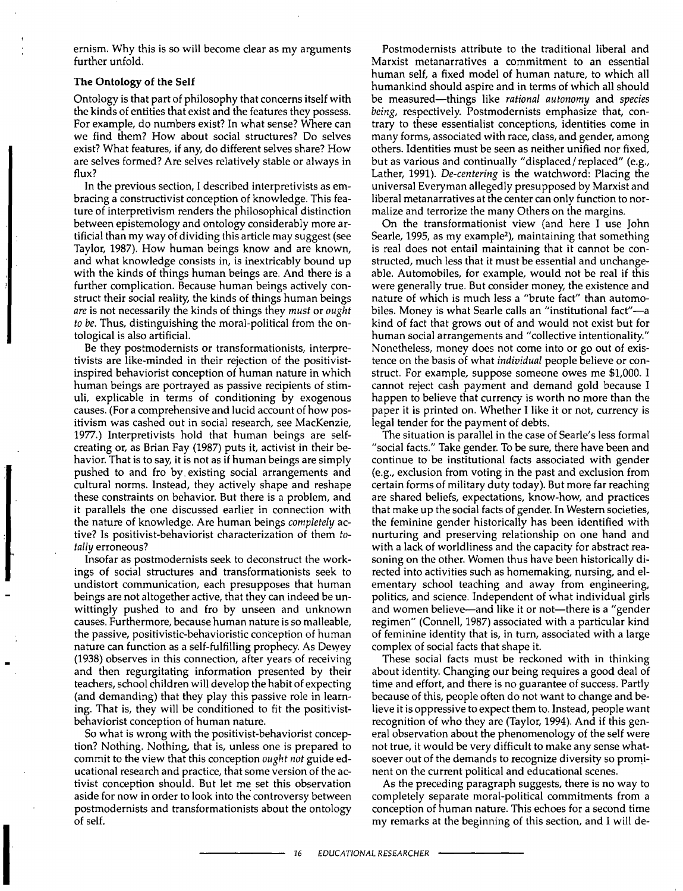ernism. Why this is so will become clear as my arguments further unfold.

# **The Ontology of the Self**

Ontology is that part of philosophy that concerns itself with the kinds of entities that exist and the features they possess. For example, do numbers exist? In what sense? Where can we find them? How about social structures? Do selves exist? What features, if any, do different selves share? How are selves formed? Are selves relatively stable or always in flux?

In the previous section, I described interpretivists as embracing a constructivist conception of knowledge. This feature of interpretivism renders the philosophical distinction between epistemology and ontology considerably more artificial than my way of dividing this article may suggest (see Taylor, 1987). How human beings know and are known, and what knowledge consists in, is inextricably bound up with the kinds of things human beings are. And there is a further complication. Because human beings actively construct their social reality, the kinds of things human beings *are* is not necessarily the kinds of things they *must* or *ought to be.* Thus, distinguishing the moral-political from the ontological is also artificial.

Be they postmodernists or transformationists, interpretivists are like-minded in their rejection of the positivistinspired behaviorist conception of human nature in which human beings are portrayed as passive recipients of stimuli, explicable in terms of conditioning by exogenous causes. (For a comprehensive and lucid account of how positivism was cashed out in social research, see MacKenzie, 1977.) Interpretivists hold that human beings are selfcreating or, as Brian Fay (1987) puts it, activist in their behavior. That is to say, it is not as if human beings are simply pushed to and fro by existing social arrangements and cultural norms. Instead, they actively shape and reshape these constraints on behavior. But there is a problem, and it parallels the one discussed earlier in connection with the nature of knowledge. Are human beings *completely* active? Is positivist-behaviorist characterization of them *totally* erroneous?

Insofar as postmodernists seek to deconstruct the workings of social structures and transformationists seek to undistort communication, each presupposes that human beings are not altogether active, that they can indeed be unwittingly pushed to and fro by unseen and unknown causes. Furthermore, because human nature is so malleable, the passive, positivistic-behavioristic conception of human nature can function as a self-fulfilling prophecy. As Dewey (1938) observes in this connection, after years of receiving and then regurgitating information presented by their teachers, school children will develop the habit of expecting (and demanding) that they play this passive role in learning. That is, they will be conditioned to fit the positivistbehaviorist conception of human nature.

So what is wrong with the positivist-behaviorist conception? Nothing. Nothing, that is, unless one is prepared to commit to the view that this conception *ought not* guide educational research and practice, that some version of the activist conception should. But let me set this observation aside for now in order to look into the controversy between postmodernists and transformationists about the ontology of self.

Postmodernists attribute to the traditional liberal and Marxist metanarratives a commitment to an essential human self, a fixed model of human nature, to which all humankind should aspire and in terms of which all should be measured--things like *rational autonomy* and *species being,* respectively. Postmodernists emphasize that, contrary to these essentialist conceptions, identities come in many forms, associated with race, class, and gender, among others. Identities must be seen as neither unified nor fixed, but as various and continually "displaced/replaced" (e.g., Lather, 1991). *De-centering* is the watchword: Placing the universal Everyman allegedly presupposed by Marxist and liberal metanarratives at the center can only function to normalize and terrorize the many Others on the margins.

On the transformationist view (and here I use John Searle, 1995, as my example<sup>2</sup>), maintaining that something is real does not entail maintaining that it cannot be constructed, much less that it must be essential and unchangeable. Automobiles, for example, would not be real if this were generally true. But consider money, the existence and nature of which is much less a "brute fact" than automobiles. Money is what Searle calls an "institutional fact"-a kind of fact that grows out of and would not exist but for human social arrangements and "collective intentionality." Nonetheless, money does not come into or go out of existence on the basis of what *individual* people believe or construct. For example, suppose someone owes me \$1,000. I cannot reject cash payment and demand gold because I happen to believe that currency is worth no more than the paper it is printed on. Whether I like it or not, currency is legal tender for the payment of debts.

The situation is parallel in the case of Searle's less formal "social facts." Take gender. To be sure, there have been and continue to be institutional facts associated with gender (e.g., exclusion from voting in the past and exclusion from certain forms of military duty today). But more far reaching are shared beliefs, expectations, know-how, and practices that make up the social facts of gender. In Western societies, the feminine gender historically has been identified with nurturing and preserving relationship on one hand and with a lack of worldliness and the capacity for abstract reasoning on the other. Women thus have been historically directed into activities such as homemaking, nursing, and elementary school teaching and away from engineering, politics, and science. Independent of what individual girls and women believe—and like it or not—there is a "gender regimen" (Connell, 1987) associated with a particular kind of feminine identity that is, in turn, associated with a large complex of social facts that shape it.

These social facts must be reckoned with in thinking about identity. Changing our being requires a good deal of time and effort, and there is no guarantee of success. Partly because of this, people often do not want to change and believe it is oppressive to expect them to. Instead, people want recognition of who they are (Taylor, 1994). And if this general observation about the phenomenology of the self were not true, it would be very difficult to make any sense whatsoever out of the demands to recognize diversity so prominent on the current political and educational scenes.

As the preceding paragraph suggests, there is no way to completely separate moral-political commitments from a conception of human nature. This echoes for a second time my remarks at the beginning of this section, and I will de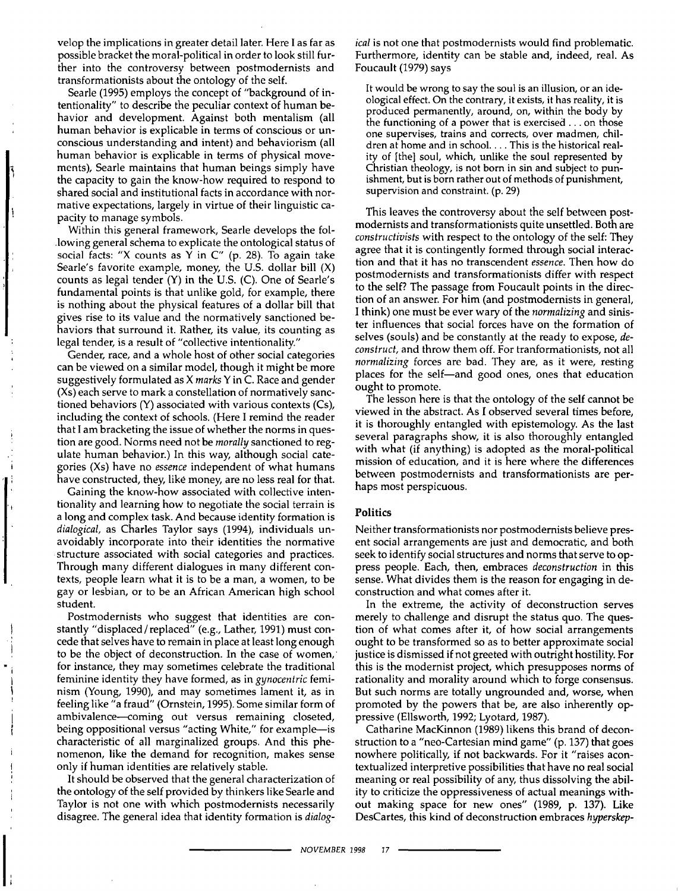velop the implications in greater detail later. Here I as far as possible bracket the moral-political in order to look still further into the controversy between postmodernists and transformationists about the ontology of the self.

Searle (1995) employs the concept of "background of intentionality" to describe the peculiar context of human behavior and development. Against both mentalism (all human behavior is explicable in terms of conscious or unconscious understanding and intent) and behaviorism (all human behavior is explicable in terms of physical movements), Searle maintains that human beings simply have the capacity to gain the know-how required to respond to shared social and institutional facts in accordance with normative expectations, largely in virtue of their linguistic capacity to manage symbols.

Within this general framework, Searle develops the fol- .lowing general schema to explicate the ontological status of social facts: "X counts as Y in C" (p. 28). To again take Searle's favorite example, money, the U.S. dollar bill (X) counts as legal tender (Y) in the U.S. (C). One of Searle's fundamental points is that unlike gold, for example, there is nothing about the physical features of a dollar bill that gives rise to its value and the normatively sanctioned behaviors that surround it. Rather, its value, its counting as legal tender, is a result of "collective intentionality."

Gender, race, and a whole host of other social categories can be viewed on a similar model, though it might be more suggestively formulated as X *marks* Y in C. Race and gender (Xs) each serve to mark a constellation of normatively sanctioned behaviors (Y) associated with various contexts (Cs), including the context of schools. (Here I remind the reader that I am bracketing the issue of whether the norms in question are good. Norms need not be *morally* sanctioned to regulate human behavior.) In this way, although social categories (Xs) have no *essence* independent of what humans have constructed, they, like money, are no less real for that.

Gaining the know-how associated with collective intentionality and learning how to negotiate the social terrain is a long and complex task. And because identity formation is *dialogical,* as Charles Taylor says (1994), individuals unavoidably incorporate into their identities the normative structure associated with social categories and practices. Through many different dialogues in many different contexts, people learn what it is to be a man, a women, to be gay or lesbian, or to be an African American high school student.

Postmodernists who suggest that identities are constantly "displaced/replaced" (e.g., Lather, 1991) must concede that selves have to remain in place at least long enough to be the object of deconstruction. In the case of women,' for instance, they may sometimes celebrate the traditional feminine identity they have formed, as in *gynocentric* feminism (Young, 1990), and may sometimes lament it, as in feeling like "a fraud" (Ornstein, 1995). Some similar form of ambivalence-coming out versus remaining closeted, being oppositional versus "acting White," for example-is characteristic of all marginalized groups. And this phenomenon, like the demand for recognition, makes sense only if human identities are relatively stable.

It should be observed that the general characterization of the ontology of the self provided by thinkers like Searle and Taylor is not one with which postmodernists necessarily disagree. The general idea that identity formation is *dialog-*

*ical* is not one that postmodernists would find problematic. Furthermore, identity can be stable and, indeed, real. As Foucault (1979) says

It would be wrong to say the soul is an illusion, or an ideological effect. On the contrary, it exists, it has reality, it is produced permanently, around, on, within the body by the functioning of a power that is exercised.., on those one supervises, trains and corrects, over madmen, children at home and in school .... This is the historical reality of [the] soul, which, unlike the soul represented by Christian theology, is not born in sin and subject to punishment, but is born rather out of methods of punishment, supervision and constraint. (p. 29)

This leaves the controversy about the self between postmodernists and transformationists quite unsettled. Both are *constructivists* with respect to the ontology of the self: They agree that it is contingently formed through social interaction and that it has no transcendent *essence.* Then how do postmodernists and transformationists differ with respect to the self? The passage from Foucault points in the direction of an answer. For him (and postmodernists in general, I think) one must be ever wary of the *normalizing* and sinister influences that social forces have on the formation of selves (souls) and be constantly at the ready to expose, *deconstruct,* and throw them off. For tranformationists, not all *normalizing* forces are bad. They are, as it were, resting places for the self-and good ones, ones that education ought to promote.

The lesson here is that the ontology of the self cannot be viewed in the abstract. As I observed several times before, it is thoroughly entangled with epistemology. As the last several paragraphs show, it is also thoroughly entangled with what (if anything) is adopted as the moral-political mission of education, and it is here where the differences between postmodernists and transformationists are perhaps most perspicuous.

# **Politics**

Neither transformationists nor postmodernists believe present social arrangements are just and democratic, and both seek to identify social structures and norms that serve to oppress people. Each, then, embraces *deconstruction* in this sense. What divides them is the reason for engaging in deconstruction and what comes after it.

In the extreme, the activity of deconstruction serves merely to challenge and disrupt the status quo. The question of what comes after it, of how social arrangements ought to be transformed so as to better approximate social justice is dismissed if not greeted with outright hostility. For this is the modernist project, which presupposes norms of rationality and morality around which to forge consensus. But such norms are totally ungrounded and, worse, when promoted by the powers that be, are also inherently oppressive (EIlsworth, 1992; Lyotard, 1987).

Catharine MacKinnon (1989) likens this brand of deconstruction to a "neo-Cartesian mind game" (p. 137) that goes nowhere politically, if not backwards. For it "raises acontextualized interpretive possibilities that have no real social meaning or real possibility of any, thus dissolving the ability to criticize the oppressiveness of actual meanings without making space for new ones" (1989, p. 137). Like DesCartes, this kind of deconstruction embraces *hyperskep-*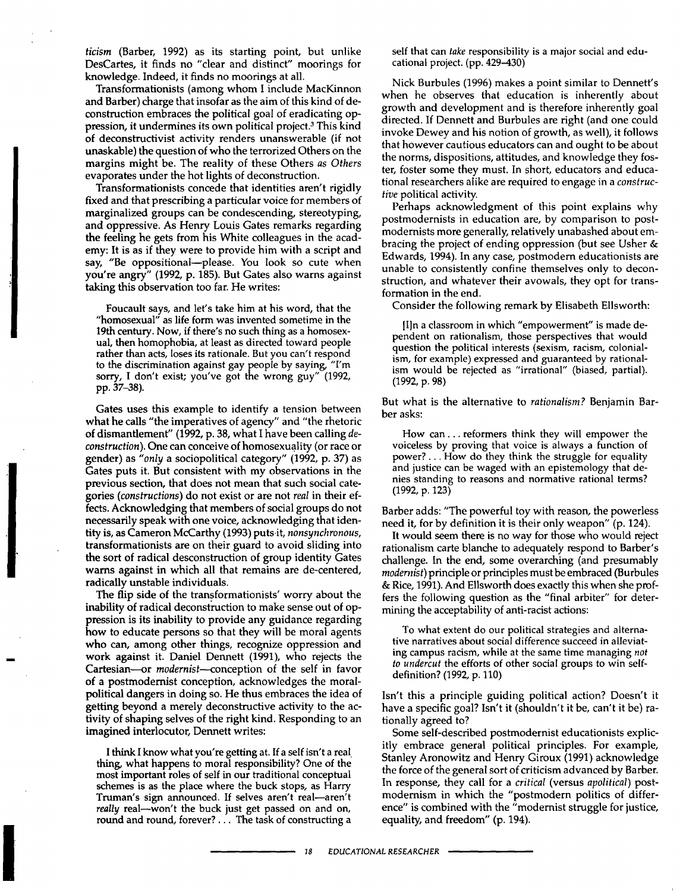*ticism* (Barber, 1992) as its starting point, but unlike DesCartes, it finds no "clear and distinct" moorings for knowledge. Indeed, it finds no moorings at all.

Transformationists (among whom I include MacKinnon and Barber) charge that insofar as the aim of this kind of deconstruction embraces the political goal of eradicating oppression, it undermines its own political project.<sup>3</sup> This kind of deconstructivist activity renders unanswerable (if not unaskable) the question of who the terrorized Others on the margins might be. The reality of these Others *as Others*  evaporates under the hot lights of deconstruction.

Transformationists concede that identities aren't rigidly fixed and that prescribing a particular voice for members of marginalized groups can be condescending, stereotyping, and oppressive. As Henry Louis Gates remarks regarding **the** feeling he gets from his White colleagues in the academy: It is as if they were to provide him with a script and say, "Be oppositional--please. You look so cute when you're angry" (1992, p. 185). But Gates also warns against taking this observation too far. He writes:

Foucault says, and let's take him at his word, that the "homosexual" as life form was invented sometime in the 19th century. Now, if there's no such thing as a homosexual, then homophobia, at least as directed toward people rather than acts, loses its rationale. But you can't respond to the discrimination against gay people by saying, "I'm sorry, I don't exist; you've got the wrong guy" (1992, pp. 37-38).

Gates uses this example to identify a tension between what he calls "the imperatives of agency" and "the rhetoric of dismantlement" (1992, p. 38, what I have been calling *deconstruction).* One can conceive of homosexuality (or race or gender) as *"only* a sociopolitical category" (1992, p. 37) as Gates puts it. But consistent with my observations in the previous section, that does not mean that such social categories *(constructions)* do not exist or are not *real* in their effects. Acknowledging that members of social groups do not necessarily speak with one voice, acknowledging that identity is, as Cameron McCarthy (1993) puts.it, *nonsynchronous,*  transformationists are on their guard to avoid sliding into the sort of radical desconstruction of group identity Gates warns against in which all that remains are de-centered, radically unstable individuals.

The flip side of the transformationists' worry about the inability of radical deconstruction to make sense out of oppression is its inability to provide any guidance regarding how to educate persons so that they will be moral agents who can, among other things, recognize oppression and work against it. Daniel Dennett (1991), who rejects the Cartesian--or *modernist---conception* of the self in favor of a postmodernist conception, acknowledges the moralpolitical dangers in doing so. He thus embraces the idea of getting beyond a merely deconstructive activity to the activity of shaping selves of the right kind. Responding to an imagined interlocutor, Dennett writes:

I think I know what you're getting at. If a self isn't a real thing, what happens to moral responsibility? One of the most important roles of self in our traditional conceptual schemes is as the place where the buck stops, as Harry Truman's sign announced. If selves aren't real-aren't really real--won't the buck just get passed on and on, round and round, forever?... The task of constructing a self that can *take* responsibility is a major social and educational project. (pp. 429-430)

Nick Burbules (1996) makes a point similar to Dennett's when he observes that education is inherently about growth and development and is therefore inherently goal directed. If Dennett and Burbules are right (and one could invoke Dewey and his notion of growth, as well), it follows that however cautious educators can and ought to be about the norms, dispositions, attitudes, and knowledge they foster, foster some they must. In short, educators and educational researchers alike are required to engage in a *constructive* political activity.

Perhaps acknowledgment of this point explains why postmodernists in education are, by comparison to postmodernists more generally, relatively unabashed about embracing the project of ending oppression (but see Usher & Edwards, 1994). In any case, postmodern educationists are unable to consistently confine themselves only to deconstruction, and whatever their avowals, they opt for transformation in the end.

Consider the following remark by Elisabeth Ellsworth:

[I]n a classroom in which "empowerment" is made dependent on rationalism, those perspectives that would question the political interests (sexism, racism, colonialism, for example) expressed and guaranteed by rationalism would be rejected as "irrational" (biased, partial). (1992, p. 98)

But what is the alternative to *rationalism?* Benjamin Barber asks:

How can.., reformers think they will empower the voiceless by proving that voice is always a function of power? ... How do they think the struggle for equality and justice can be waged with an epistemology that denies standing to reasons and normative rational terms? (1992, p. 123)

Barber adds: "The powerful toy with reason, the powerless need it, for by definition it is their only weapon" (p. 124).

It would seem there is no way for those who would reject rationalism carte blanche to adequately respond to Barber's challenge. In the end, some overarching (and presumably *modernist)* principle or principles must be embraced (Burbules & Rice, 1991). And Ellsworth does exactly this when she proffers the following question as the "final arbiter" for determining the acceptability of anti-racist actions:

To what extent do our political strategies and alternative narratives about social difference succeed in alleviating campus racism, while at the same time managing *not to undercut* the efforts of other social groups to win selfdefinition? (1992, p. 110)

Isn't this a principle guiding political action? Doesn't it have a specific goal? Isn't it (shouldn't it be, can't it be) rationally agreed to?

Some self-described postmodernist educationists explicitly embrace general political principles. For example, Stanley Aronowitz and Henry Giroux (1991) acknowledge the force of the general sort of criticism advanced by Barber. In response, they call for a *critical* (versus *apolitical)* postmodernism in which the "postmodern politics of difference" is combined with the "modernist struggle for justice, equality, and freedom" (p. 194).

*18 EDUCATIONAL RESEARCHER*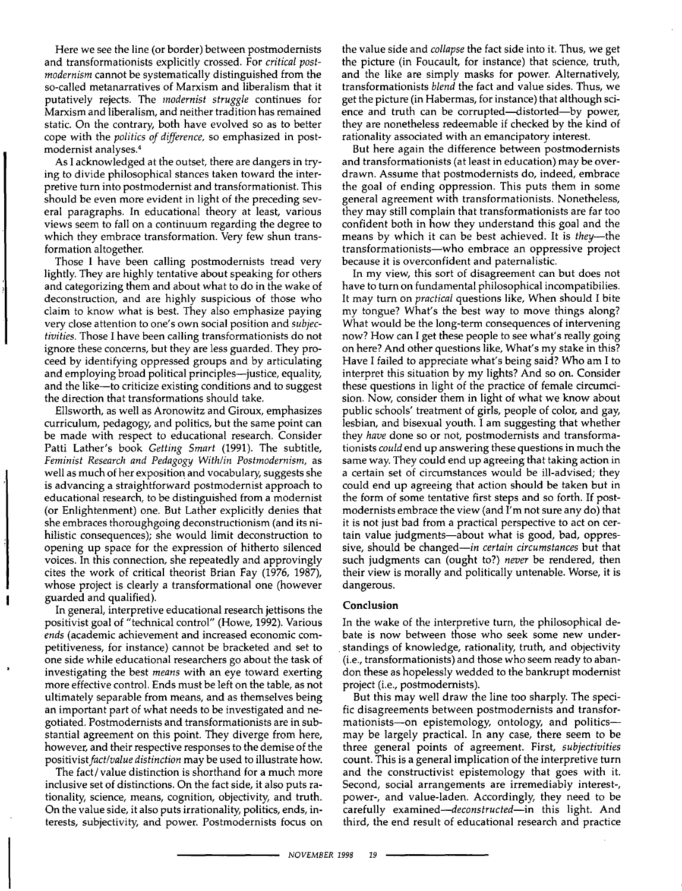Here we see the line (or border) between postmodernists and transformationists explicitly crossed. For *critical postmodernism* cannot be systematically distinguished from the so-called metanarratives of Marxism and liberalism that it putatively rejects. The *modernist struggle* continues for Marxism and liberalism, and neither tradition has remained static. On the contrary, both have evolved so as to better cope with the *politics of difference,* so emphasized in postmodernist analyses. 4

As I acknowledged at the outset, there are dangers in trying to divide philosophical stances taken toward the interpretive turn into postmodernist and transformationist. This should be even more evident in light of the preceding several paragraphs. In educational theory at least, various views seem to fall on a continuum regarding the degree to which they embrace transformation. Very few shun transformation altogether.

Those I have been calling postmodernists tread very lightly. They are highly tentative about speaking for others and categorizing them and about what to do in the wake of deconstruction, and are highly suspicious of those who claim to know what is best. They also emphasize paying very close attention to one's own social position and *subjectivities.* Those I have been calling transformationists do not ignore these concerns, but they are less guarded. They proceed by identifying oppressed groups and by articulating and employing broad political principles--justice, equality, and the like-to criticize existing conditions and to suggest the direction that transformations should take.

Ellsworth, as well as Aronowitz and Giroux, emphasizes curriculum, pedagogy, and politics, but the same point can be made with respect to educational research. Consider Patti Lather's book *Getting Smart* (1991). The subtitle, *Feminist Research and Pedagogy With/in Postmodernism,* as well as much of her exposition and vocabulary, suggests she is advancing a straightforward postmodernist approach to educational research, to be distinguished from a modernist (or Enlightenment) one. But Lather explicitly denies that she embraces thoroughgoing deconstructionism (and its nihilistic consequences); she would limit deconstruction to opening up space for the expression of hitherto silenced voices. In this connection, she repeatedly and approvingly cites the work of critical theorist Brian Fay (1976, 1987), whose project is clearly a transformational one (however guarded and qualified).

In general, interpretive educational research jettisons the positivist goal of "technical control" (Howe, 1992). Various *ends* (academic achievement and increased economic competitiveness, for instance) cannot be bracketed and set to one side while educational researchers go about the task of investigating the best *means* with an eye toward exerting more effective control. Ends must be left on the table, as not ultimately separable from means, and as themselves being an important part of what needs to be investigated and negotiated. Postmodernists and transformationists are in substantial agreement on this point. They diverge from here, however, and their respective responses to the demise of the positivist fact/value distinction may be used to illustrate how.

The fact/value distinction is shorthand for a much more inclusive set of distinctions. On the fact side, it also puts rationality, science, means, cognition, objectivity, and truth. On the value side, it also puts irrationality, politics, ends, interests, subjectivity, and power. Postmodernists focus on

the value side and *collapse* the fact side into it. Thus, we get the picture (in Foucault, for instance) that science, truth, and the like are simply masks for power. Alternatively, transformationists *blend* the fact and value sides. Thus, we get the picture (in Habermas, for instance) that although science and truth can be corrupted-distorted--by power. they are nonetheless redeemable if checked by the kind of rationality associated with an emancipatory interest.

But here again the difference between postmodernists and transformationists (at least in education) may be overdrawn. Assume that postmodernists do, indeed, embrace the goal of ending oppression. This puts them in some general agreement with transformationists. Nonetheless, they may still complain that transformationists are far too confident both in how they understand this goal and the means by which it can be best achieved. It is *they*--the transformationists--who embrace an oppressive project because it is overconfident and paternalistic.

In my view, this sort of disagreement can but does not have to turn on fundamental philosophical incompatibilies. It may turn on *practical* questions like, When should I bite my tongue? What's the best way to move things along? What would be the long-term consequences of intervening now? How can I get these people to see what's really going on here? And other questions like, What's my stake in this? Have I failed to appreciate what's being said? Who am I to interpret this situation by my lights? And so on. Consider these questions in light of the practice of female circumcision. Now, consider them in light of what we know about public schools' treatment of girls, people of color, and gay, lesbian, and bisexual youth. I am suggesting that whether they *have* done so or not, postmodemists and transformationists *could* end up answering these questions in much the same way. They could end up agreeing that taking action in a certain set of circumstances would be ill-advised; they could end up agreeing that action should be taken but in the form of some tentative first steps and so forth. If postmodernists embrace the view (and I'm not sure any do) that it is not just bad from a practical perspective to act on certain value judgments-about what is good, bad, oppressive, should be changed--in *certain circumstances* but that such judgments can (ought to?) *never* be rendered, then their view is morally and politically untenable. Worse, it is dangerous.

# **Conclusion**

In the wake of the interpretive turn, the philosophical debate is now between those who seek some new understandings of knowledge, rationality, truth, and objectivity (i.e., transformationists) and those who seem ready to abandon these as hopelessly wedded to the bankrupt modernist project (i.e., postmodernists).

But this may well draw the line too sharply. The specific disagreements between postmodernists and transformationists--on epistemology, ontology, and politics-may be largely practical. In any case, there seem to be three general points of agreement. First, *subjectivities*  count. This is a general implication of the interpretive turn and the constructivist epistemology that goes with it. Second, social arrangements are irremediably interest-, power-, and value-laden. Accordingly, they need to be carefully *examined--deconstructed--in* this light. And third, the end result of educational research and practice